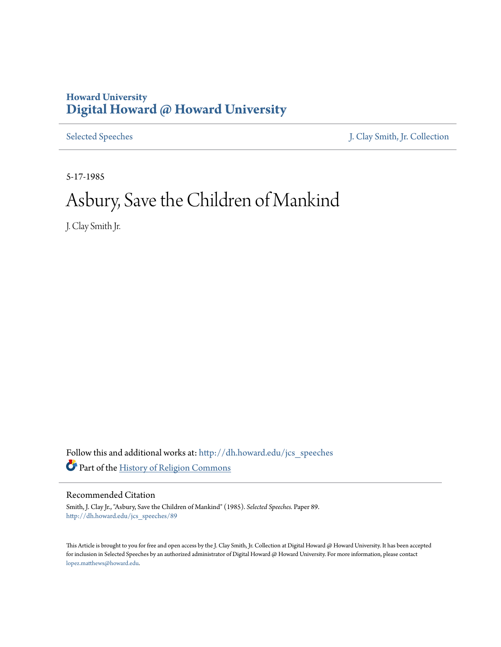## **Howard University [Digital Howard @ Howard University](http://dh.howard.edu?utm_source=dh.howard.edu%2Fjcs_speeches%2F89&utm_medium=PDF&utm_campaign=PDFCoverPages)**

[Selected Speeches](http://dh.howard.edu/jcs_speeches?utm_source=dh.howard.edu%2Fjcs_speeches%2F89&utm_medium=PDF&utm_campaign=PDFCoverPages) [J. Clay Smith, Jr. Collection](http://dh.howard.edu/jcsmith?utm_source=dh.howard.edu%2Fjcs_speeches%2F89&utm_medium=PDF&utm_campaign=PDFCoverPages)

5-17-1985

# Asbury, Save the Children of Mankind

J. Clay Smith Jr.

Follow this and additional works at: [http://dh.howard.edu/jcs\\_speeches](http://dh.howard.edu/jcs_speeches?utm_source=dh.howard.edu%2Fjcs_speeches%2F89&utm_medium=PDF&utm_campaign=PDFCoverPages) Part of the [History of Religion Commons](http://network.bepress.com/hgg/discipline/499?utm_source=dh.howard.edu%2Fjcs_speeches%2F89&utm_medium=PDF&utm_campaign=PDFCoverPages)

### Recommended Citation

Smith, J. Clay Jr., "Asbury, Save the Children of Mankind" (1985). *Selected Speeches.* Paper 89. [http://dh.howard.edu/jcs\\_speeches/89](http://dh.howard.edu/jcs_speeches/89?utm_source=dh.howard.edu%2Fjcs_speeches%2F89&utm_medium=PDF&utm_campaign=PDFCoverPages)

This Article is brought to you for free and open access by the J. Clay Smith, Jr. Collection at Digital Howard @ Howard University. It has been accepted for inclusion in Selected Speeches by an authorized administrator of Digital Howard @ Howard University. For more information, please contact [lopez.matthews@howard.edu.](mailto:lopez.matthews@howard.edu)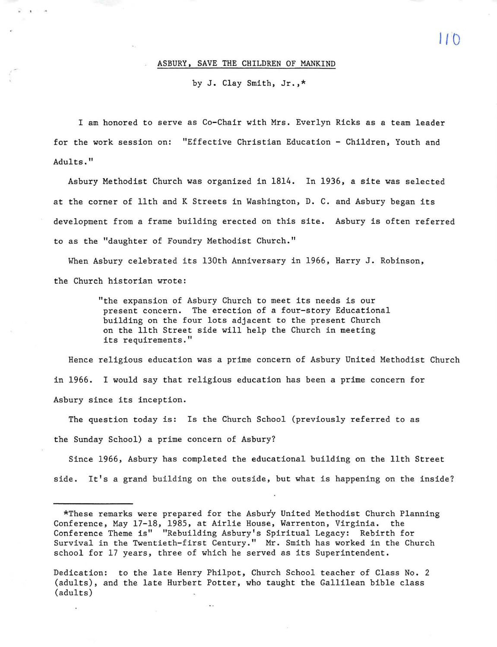#### ASBURY, SAVE THE CHILDREN OF MANKIND

#### by J. Clay Smith, Jr.,\*

I am honored to serve as Co-Chair with Mrs. Everlyn Ricks as a team leader for the work session on: "Effective Christian Education - Children, Youth and Adults."

Asbury Methodist Church was organized in 1814. In 1936, a site was selected at the corner of 11th and K Streets in Washington, D. C. and Asbury began its development from a frame building erected on this site. Asbury is often referred to as the "daughter of Foundry Methodist Church."

When Asbury celebrated its 130th Anniversary in 1966, Harry J. Robinson, the Church historian wrote:

> "the expansion of Asbury Church to meet its needs is our present concern. The erection of a four-story Educational building on the four lots adjacent to the present Church on the 11th Street side will help the Church in meeting its requirements."

Hence religious education was a prime concern of Asbury United Methodist Church in 1966. I would say that religious education has been a prime concern for Asbury since its inception.

The question today is: Is the Church School (previously referred to as the Sunday School) a prime concern of Asbury?

Since 1966, Asbury has completed the educational building on the 11th Street side. It's a grand building on the outside, but what is happening on the inside?

Dedication: to the late Henry Philpot, Church School teacher of Class No. 2 (adults), and the late Hurbert Potter, who taught the Gallilean bible class (adults)

<sup>\*</sup>These remarks were prepared for the Asbury United Methodist Church Planning Conference, May 17-18, 1985, at Airlie House, Warrenton, Virginia. the Conference Theme is" "Rebuilding Asbury's Spiritual Legacy: Rebirth for Survival in the Twentieth-first Century." Mr. Smith has worked in the Church school for 17 years, three of which he served as its Superintendent.